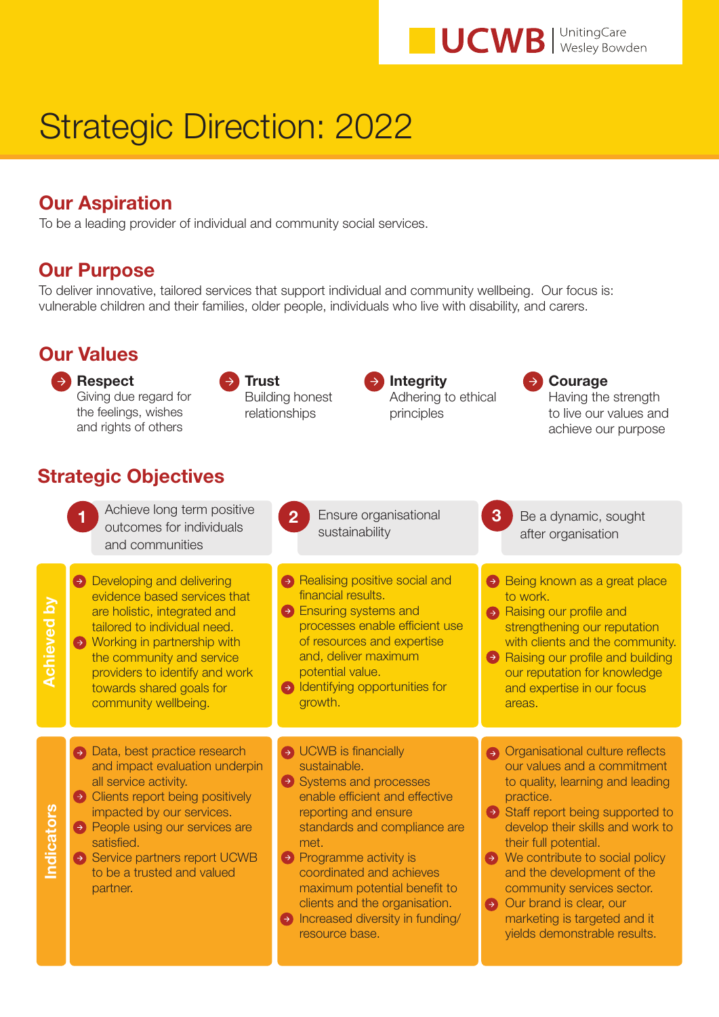**UCWB** Wesley Bowden

# Strategic Direction: 2022

### Our Aspiration

To be a leading provider of individual and community social services.

#### Our Purpose

To deliver innovative, tailored services that support individual and community wellbeing. Our focus is: vulnerable children and their families, older people, individuals who live with disability, and carers.

| <b>Our Values</b>           |                                                                                                                                                                                                                                                                                             |                                                                                                                                                                                                                                                                                                                                                                    |                                                                                                                                                                                                                                                                                                                                                                                                                                               |  |
|-----------------------------|---------------------------------------------------------------------------------------------------------------------------------------------------------------------------------------------------------------------------------------------------------------------------------------------|--------------------------------------------------------------------------------------------------------------------------------------------------------------------------------------------------------------------------------------------------------------------------------------------------------------------------------------------------------------------|-----------------------------------------------------------------------------------------------------------------------------------------------------------------------------------------------------------------------------------------------------------------------------------------------------------------------------------------------------------------------------------------------------------------------------------------------|--|
|                             | <b>Respect</b><br>Giving due regard for<br>the feelings, wishes<br>and rights of others                                                                                                                                                                                                     | <b>Integrity</b><br><b>Trust</b><br><b>Building honest</b><br>Adhering to ethical<br>relationships<br>principles                                                                                                                                                                                                                                                   | Courage<br>Having the strength<br>to live our values and<br>achieve our purpose                                                                                                                                                                                                                                                                                                                                                               |  |
| <b>Strategic Objectives</b> |                                                                                                                                                                                                                                                                                             |                                                                                                                                                                                                                                                                                                                                                                    |                                                                                                                                                                                                                                                                                                                                                                                                                                               |  |
|                             | Achieve long term positive<br>outcomes for individuals<br>and communities                                                                                                                                                                                                                   | Ensure organisational<br>$\overline{2}$<br>sustainability                                                                                                                                                                                                                                                                                                          | 3 <sup>°</sup><br>Be a dynamic, sought<br>after organisation                                                                                                                                                                                                                                                                                                                                                                                  |  |
| <b>Achieved by</b>          | Developing and delivering<br>evidence based services that<br>are holistic, integrated and<br>tailored to individual need.<br>→ Working in partnership with<br>the community and service<br>providers to identify and work<br>towards shared goals for<br>community wellbeing.               | A Realising positive social and<br>financial results.<br><b>Ensuring systems and</b><br>processes enable efficient use<br>of resources and expertise<br>and, deliver maximum<br>potential value.<br>ldentifying opportunities for<br>growth.                                                                                                                       | Being known as a great place<br>to work.<br>A Raising our profile and<br>strengthening our reputation<br>with clients and the community.<br>A Raising our profile and building<br>our reputation for knowledge<br>and expertise in our focus<br>areas.                                                                                                                                                                                        |  |
| Indicators                  | Data, best practice research<br>and impact evaluation underpin<br>all service activity.<br>• Clients report being positively<br>impacted by our services.<br><b>• People using our services are</b><br>satisfied.<br>Service partners report UCWB<br>to be a trusted and valued<br>partner. | $\rightarrow$ UCWB is financially<br>sustainable.<br>Systems and processes<br>enable efficient and effective<br>reporting and ensure<br>standards and compliance are<br>met.<br>• Programme activity is<br>coordinated and achieves<br>maximum potential benefit to<br>clients and the organisation.<br>$\Theta$ Increased diversity in funding/<br>resource base. | Organisational culture reflects<br>our values and a commitment<br>to quality, learning and leading<br>practice.<br>$\Theta$ Staff report being supported to<br>develop their skills and work to<br>their full potential.<br>$\rightarrow$ We contribute to social policy<br>and the development of the<br>community services sector.<br>$\rightarrow$ Our brand is clear, our<br>marketing is targeted and it<br>yields demonstrable results. |  |